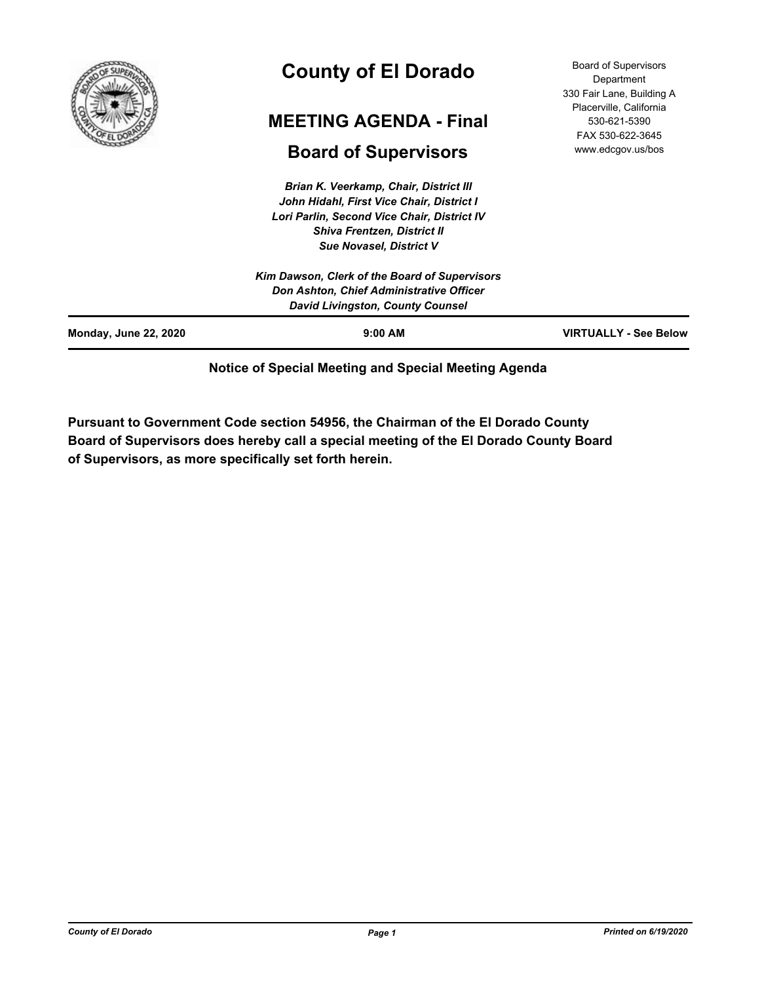

# **County of El Dorado**

## **MEETING AGENDA - Final**

## **Board of Supervisors**

*Brian K. Veerkamp, Chair, District III John Hidahl, First Vice Chair, District I Lori Parlin, Second Vice Chair, District IV Shiva Frentzen, District II Sue Novasel, District V*

| <b>Monday, June 22, 2020</b> | $9:00$ AM                                                                    | <b>VIRTUALLY - See Below</b> |
|------------------------------|------------------------------------------------------------------------------|------------------------------|
|                              | Don Ashton, Chief Administrative Officer<br>David Livingston, County Counsel |                              |
|                              | Kim Dawson, Clerk of the Board of Supervisors                                |                              |

### **Notice of Special Meeting and Special Meeting Agenda**

**Pursuant to Government Code section 54956, the Chairman of the El Dorado County Board of Supervisors does hereby call a special meeting of the El Dorado County Board of Supervisors, as more specifically set forth herein.**

Board of Supervisors Department 330 Fair Lane, Building A Placerville, California 530-621-5390 FAX 530-622-3645 www.edcgov.us/bos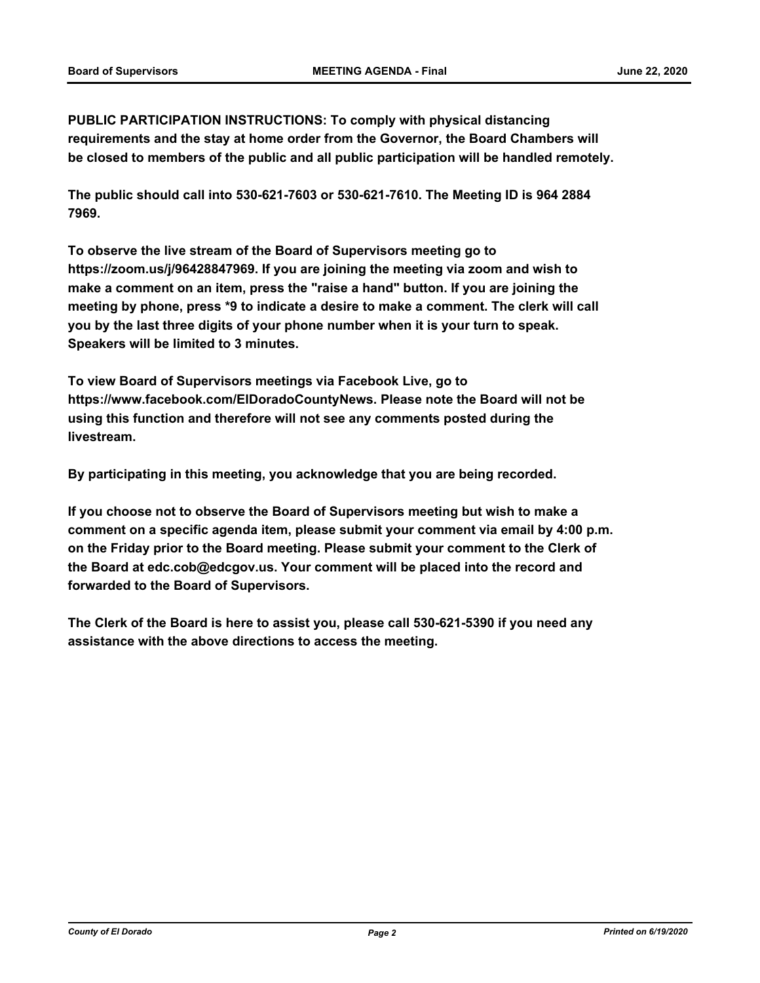**PUBLIC PARTICIPATION INSTRUCTIONS: To comply with physical distancing requirements and the stay at home order from the Governor, the Board Chambers will be closed to members of the public and all public participation will be handled remotely.** 

**The public should call into 530-621-7603 or 530-621-7610. The Meeting ID is 964 2884 7969.** 

**To observe the live stream of the Board of Supervisors meeting go to https://zoom.us/j/96428847969. If you are joining the meeting via zoom and wish to make a comment on an item, press the "raise a hand" button. If you are joining the meeting by phone, press \*9 to indicate a desire to make a comment. The clerk will call you by the last three digits of your phone number when it is your turn to speak. Speakers will be limited to 3 minutes.** 

**To view Board of Supervisors meetings via Facebook Live, go to https://www.facebook.com/ElDoradoCountyNews. Please note the Board will not be using this function and therefore will not see any comments posted during the livestream.** 

**By participating in this meeting, you acknowledge that you are being recorded.**

**If you choose not to observe the Board of Supervisors meeting but wish to make a comment on a specific agenda item, please submit your comment via email by 4:00 p.m. on the Friday prior to the Board meeting. Please submit your comment to the Clerk of the Board at edc.cob@edcgov.us. Your comment will be placed into the record and forwarded to the Board of Supervisors.** 

**The Clerk of the Board is here to assist you, please call 530-621-5390 if you need any assistance with the above directions to access the meeting.**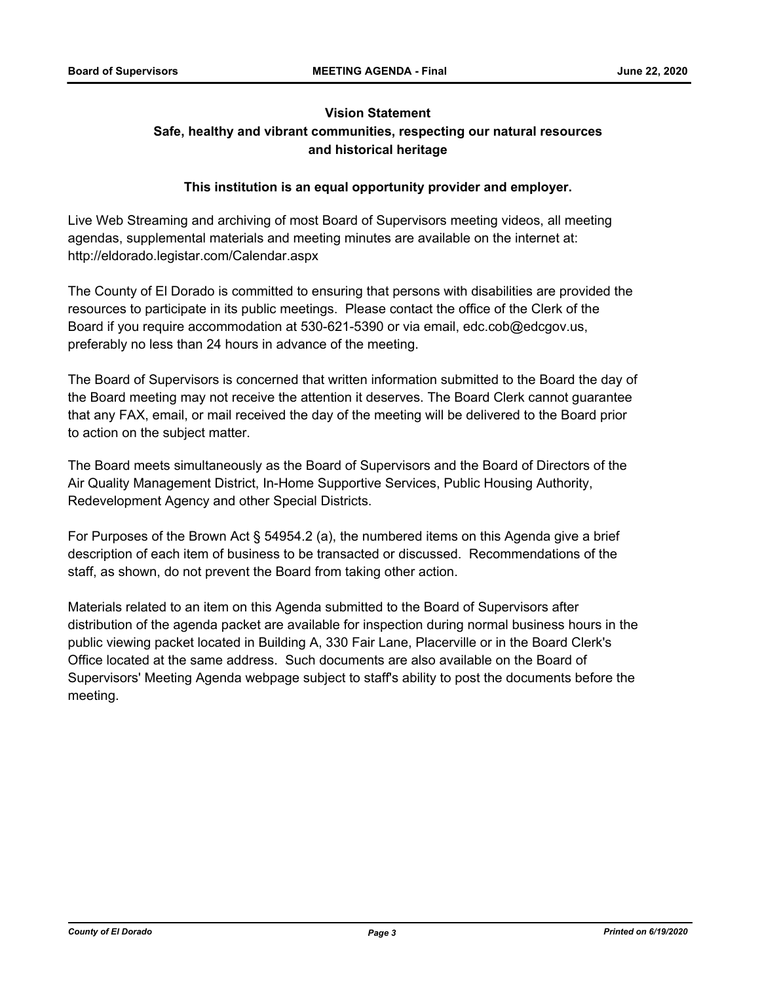## **Vision Statement Safe, healthy and vibrant communities, respecting our natural resources and historical heritage**

### **This institution is an equal opportunity provider and employer.**

Live Web Streaming and archiving of most Board of Supervisors meeting videos, all meeting agendas, supplemental materials and meeting minutes are available on the internet at: http://eldorado.legistar.com/Calendar.aspx

The County of El Dorado is committed to ensuring that persons with disabilities are provided the resources to participate in its public meetings. Please contact the office of the Clerk of the Board if you require accommodation at 530-621-5390 or via email, edc.cob@edcgov.us, preferably no less than 24 hours in advance of the meeting.

The Board of Supervisors is concerned that written information submitted to the Board the day of the Board meeting may not receive the attention it deserves. The Board Clerk cannot guarantee that any FAX, email, or mail received the day of the meeting will be delivered to the Board prior to action on the subject matter.

The Board meets simultaneously as the Board of Supervisors and the Board of Directors of the Air Quality Management District, In-Home Supportive Services, Public Housing Authority, Redevelopment Agency and other Special Districts.

For Purposes of the Brown Act § 54954.2 (a), the numbered items on this Agenda give a brief description of each item of business to be transacted or discussed. Recommendations of the staff, as shown, do not prevent the Board from taking other action.

Materials related to an item on this Agenda submitted to the Board of Supervisors after distribution of the agenda packet are available for inspection during normal business hours in the public viewing packet located in Building A, 330 Fair Lane, Placerville or in the Board Clerk's Office located at the same address. Such documents are also available on the Board of Supervisors' Meeting Agenda webpage subject to staff's ability to post the documents before the meeting.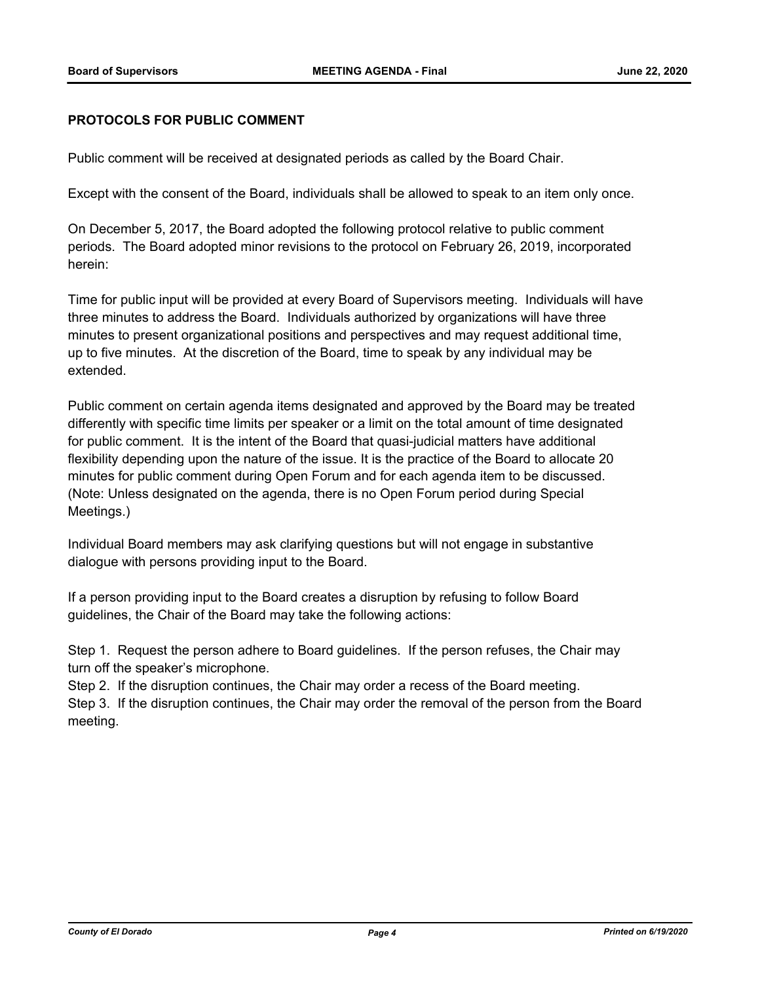#### **PROTOCOLS FOR PUBLIC COMMENT**

Public comment will be received at designated periods as called by the Board Chair.

Except with the consent of the Board, individuals shall be allowed to speak to an item only once.

On December 5, 2017, the Board adopted the following protocol relative to public comment periods. The Board adopted minor revisions to the protocol on February 26, 2019, incorporated herein:

Time for public input will be provided at every Board of Supervisors meeting. Individuals will have three minutes to address the Board. Individuals authorized by organizations will have three minutes to present organizational positions and perspectives and may request additional time, up to five minutes. At the discretion of the Board, time to speak by any individual may be extended.

Public comment on certain agenda items designated and approved by the Board may be treated differently with specific time limits per speaker or a limit on the total amount of time designated for public comment. It is the intent of the Board that quasi-judicial matters have additional flexibility depending upon the nature of the issue. It is the practice of the Board to allocate 20 minutes for public comment during Open Forum and for each agenda item to be discussed. (Note: Unless designated on the agenda, there is no Open Forum period during Special Meetings.)

Individual Board members may ask clarifying questions but will not engage in substantive dialogue with persons providing input to the Board.

If a person providing input to the Board creates a disruption by refusing to follow Board guidelines, the Chair of the Board may take the following actions:

Step 1. Request the person adhere to Board guidelines. If the person refuses, the Chair may turn off the speaker's microphone.

Step 2. If the disruption continues, the Chair may order a recess of the Board meeting. Step 3. If the disruption continues, the Chair may order the removal of the person from the Board meeting.